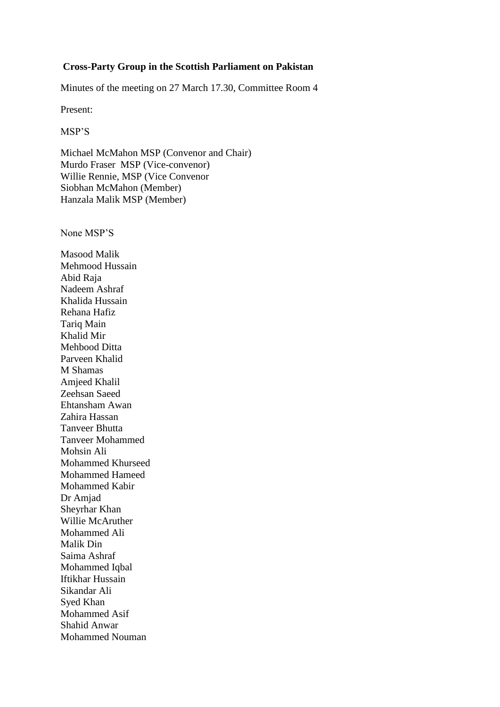## **Cross-Party Group in the Scottish Parliament on Pakistan**

Minutes of the meeting on 27 March 17.30, Committee Room 4

Present:

MSP'S

Michael McMahon MSP (Convenor and Chair) Murdo Fraser MSP (Vice-convenor) Willie Rennie, MSP (Vice Convenor Siobhan McMahon (Member) Hanzala Malik MSP (Member)

None MSP'S

Masood Malik Mehmood Hussain Abid Raja Nadeem Ashraf Khalida Hussain Rehana Hafiz Tariq Main Khalid Mir Mehbood Ditta Parveen Khalid M Shamas Amjeed Khalil Zeehsan Saeed Ehtansham Awan Zahira Hassan Tanveer Bhutta Tanveer Mohammed Mohsin Ali Mohammed Khurseed Mohammed Hameed Mohammed Kabir Dr Amjad Sheyrhar Khan Willie McAruther Mohammed Ali Malik Din Saima Ashraf Mohammed Iqbal Iftikhar Hussain Sikandar Ali Syed Khan Mohammed Asif Shahid Anwar Mohammed Nouman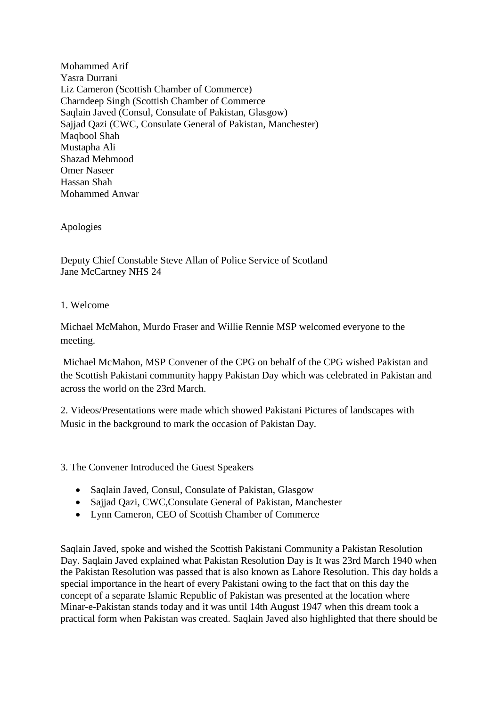Mohammed Arif Yasra Durrani Liz Cameron (Scottish Chamber of Commerce) Charndeep Singh (Scottish Chamber of Commerce Saqlain Javed (Consul, Consulate of Pakistan, Glasgow) Sajjad Qazi (CWC, Consulate General of Pakistan, Manchester) Maqbool Shah Mustapha Ali Shazad Mehmood Omer Naseer Hassan Shah Mohammed Anwar

Apologies

Deputy Chief Constable Steve Allan of Police Service of Scotland Jane McCartney NHS 24

## 1. Welcome

Michael McMahon, Murdo Fraser and Willie Rennie MSP welcomed everyone to the meeting.

Michael McMahon, MSP Convener of the CPG on behalf of the CPG wished Pakistan and the Scottish Pakistani community happy Pakistan Day which was celebrated in Pakistan and across the world on the 23rd March.

2. Videos/Presentations were made which showed Pakistani Pictures of landscapes with Music in the background to mark the occasion of Pakistan Day.

3. The Convener Introduced the Guest Speakers

- Saqlain Javed, Consul, Consulate of Pakistan, Glasgow
- Sajjad Qazi, CWC,Consulate General of Pakistan, Manchester
- Lynn Cameron, CEO of Scottish Chamber of Commerce

Saqlain Javed, spoke and wished the Scottish Pakistani Community a Pakistan Resolution Day. Saqlain Javed explained what Pakistan Resolution Day is It was 23rd March 1940 when the Pakistan Resolution was passed that is also known as Lahore Resolution. This day holds a special importance in the heart of every Pakistani owing to the fact that on this day the concept of a separate Islamic Republic of Pakistan was presented at the location where Minar-e-Pakistan stands today and it was until 14th August 1947 when this dream took a practical form when Pakistan was created. Saqlain Javed also highlighted that there should be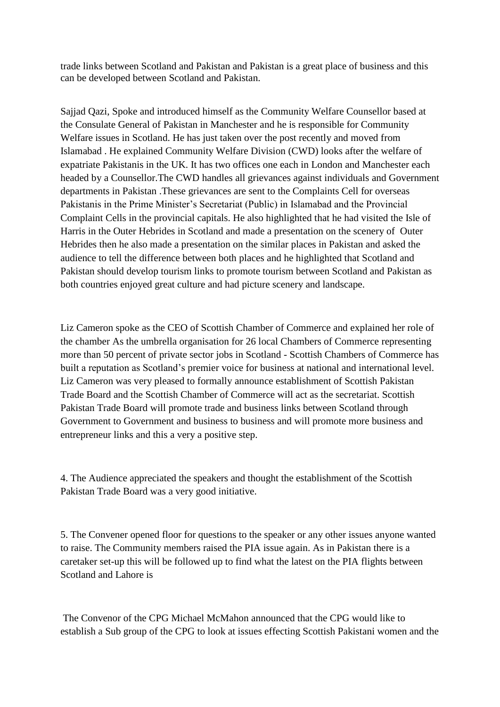trade links between Scotland and Pakistan and Pakistan is a great place of business and this can be developed between Scotland and Pakistan.

Sajjad Qazi, Spoke and introduced himself as the Community Welfare Counsellor based at the Consulate General of Pakistan in Manchester and he is responsible for Community Welfare issues in Scotland. He has just taken over the post recently and moved from Islamabad . He explained Community Welfare Division (CWD) looks after the welfare of expatriate Pakistanis in the UK. It has two offices one each in London and Manchester each headed by a Counsellor.The CWD handles all grievances against individuals and Government departments in Pakistan .These grievances are sent to the Complaints Cell for overseas Pakistanis in the Prime Minister's Secretariat (Public) in Islamabad and the Provincial Complaint Cells in the provincial capitals. He also highlighted that he had visited the Isle of Harris in the Outer Hebrides in Scotland and made a presentation on the scenery of Outer Hebrides then he also made a presentation on the similar places in Pakistan and asked the audience to tell the difference between both places and he highlighted that Scotland and Pakistan should develop tourism links to promote tourism between Scotland and Pakistan as both countries enjoyed great culture and had picture scenery and landscape.

Liz Cameron spoke as the CEO of Scottish Chamber of Commerce and explained her role of the chamber As the umbrella organisation for 26 local Chambers of Commerce representing more than 50 percent of private sector jobs in Scotland - Scottish Chambers of Commerce has built a reputation as Scotland's premier voice for business at national and international level. Liz Cameron was very pleased to formally announce establishment of Scottish Pakistan Trade Board and the Scottish Chamber of Commerce will act as the secretariat. Scottish Pakistan Trade Board will promote trade and business links between Scotland through Government to Government and business to business and will promote more business and entrepreneur links and this a very a positive step.

4. The Audience appreciated the speakers and thought the establishment of the Scottish Pakistan Trade Board was a very good initiative.

5. The Convener opened floor for questions to the speaker or any other issues anyone wanted to raise. The Community members raised the PIA issue again. As in Pakistan there is a caretaker set-up this will be followed up to find what the latest on the PIA flights between Scotland and Lahore is

The Convenor of the CPG Michael McMahon announced that the CPG would like to establish a Sub group of the CPG to look at issues effecting Scottish Pakistani women and the